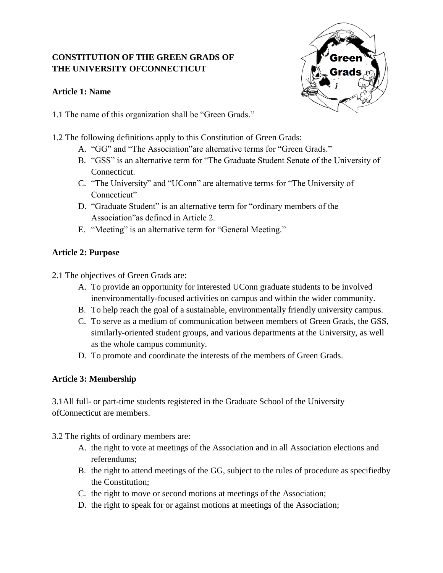# **CONSTITUTION OF THE GREEN GRADS OF THE UNIVERSITY OFCONNECTICUT**

# **Article 1: Name**



- 1.1 The name of this organization shall be "Green Grads."
- 1.2 The following definitions apply to this Constitution of Green Grads:
	- A. "GG" and "The Association"are alternative terms for "Green Grads."
	- B. "GSS" is an alternative term for "The Graduate Student Senate of the University of Connecticut.
	- C. "The University" and "UConn" are alternative terms for "The University of Connecticut"
	- D. "Graduate Student" is an alternative term for "ordinary members of the Association"as defined in Article 2.
	- E. "Meeting" is an alternative term for "General Meeting."

# **Article 2: Purpose**

- 2.1 The objectives of Green Grads are:
	- A. To provide an opportunity for interested UConn graduate students to be involved inenvironmentally-focused activities on campus and within the wider community.
	- B. To help reach the goal of a sustainable, environmentally friendly university campus.
	- C. To serve as a medium of communication between members of Green Grads, the GSS, similarly-oriented student groups, and various departments at the University, as well as the whole campus community.
	- D. To promote and coordinate the interests of the members of Green Grads.

# **Article 3: Membership**

3.1All full- or part-time students registered in the Graduate School of the University ofConnecticut are members.

- 3.2 The rights of ordinary members are:
	- A. the right to vote at meetings of the Association and in all Association elections and referendums;
	- B. the right to attend meetings of the GG, subject to the rules of procedure as specifiedby the Constitution;
	- C. the right to move or second motions at meetings of the Association;
	- D. the right to speak for or against motions at meetings of the Association;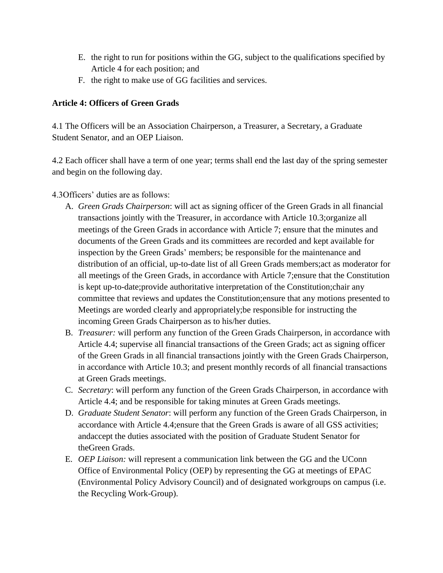- E. the right to run for positions within the GG, subject to the qualifications specified by Article 4 for each position; and
- F. the right to make use of GG facilities and services.

### **Article 4: Officers of Green Grads**

4.1 The Officers will be an Association Chairperson, a Treasurer, a Secretary, a Graduate Student Senator, and an OEP Liaison.

4.2 Each officer shall have a term of one year; terms shall end the last day of the spring semester and begin on the following day.

### 4.3Officers' duties are as follows:

- A. *Green Grads Chairperson*: will act as signing officer of the Green Grads in all financial transactions jointly with the Treasurer, in accordance with Article 10.3;organize all meetings of the Green Grads in accordance with Article 7; ensure that the minutes and documents of the Green Grads and its committees are recorded and kept available for inspection by the Green Grads' members; be responsible for the maintenance and distribution of an official, up-to-date list of all Green Grads members;act as moderator for all meetings of the Green Grads, in accordance with Article 7;ensure that the Constitution is kept up-to-date;provide authoritative interpretation of the Constitution;chair any committee that reviews and updates the Constitution;ensure that any motions presented to Meetings are worded clearly and appropriately;be responsible for instructing the incoming Green Grads Chairperson as to his/her duties.
- B. *Treasurer:* will perform any function of the Green Grads Chairperson, in accordance with Article 4.4; supervise all financial transactions of the Green Grads; act as signing officer of the Green Grads in all financial transactions jointly with the Green Grads Chairperson, in accordance with Article 10.3; and present monthly records of all financial transactions at Green Grads meetings.
- C. *Secretary*: will perform any function of the Green Grads Chairperson, in accordance with Article 4.4; and be responsible for taking minutes at Green Grads meetings.
- D. *Graduate Student Senator*: will perform any function of the Green Grads Chairperson, in accordance with Article 4.4;ensure that the Green Grads is aware of all GSS activities; andaccept the duties associated with the position of Graduate Student Senator for theGreen Grads.
- E. *OEP Liaison:* will represent a communication link between the GG and the UConn Office of Environmental Policy (OEP) by representing the GG at meetings of EPAC (Environmental Policy Advisory Council) and of designated workgroups on campus (i.e. the Recycling Work-Group).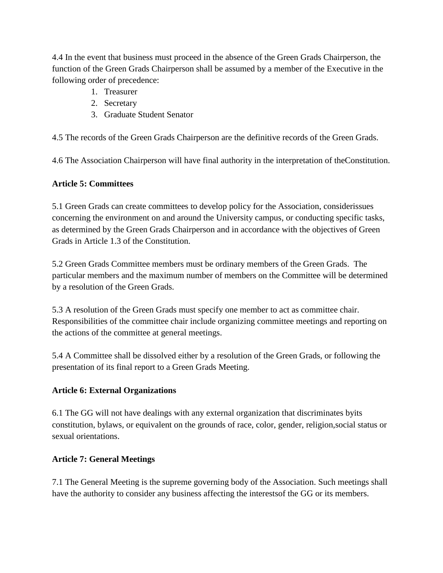4.4 In the event that business must proceed in the absence of the Green Grads Chairperson, the function of the Green Grads Chairperson shall be assumed by a member of the Executive in the following order of precedence:

- 1. Treasurer
- 2. Secretary
- 3. Graduate Student Senator

4.5 The records of the Green Grads Chairperson are the definitive records of the Green Grads.

4.6 The Association Chairperson will have final authority in the interpretation of theConstitution.

### **Article 5: Committees**

5.1 Green Grads can create committees to develop policy for the Association, considerissues concerning the environment on and around the University campus, or conducting specific tasks, as determined by the Green Grads Chairperson and in accordance with the objectives of Green Grads in Article 1.3 of the Constitution.

5.2 Green Grads Committee members must be ordinary members of the Green Grads. The particular members and the maximum number of members on the Committee will be determined by a resolution of the Green Grads.

5.3 A resolution of the Green Grads must specify one member to act as committee chair. Responsibilities of the committee chair include organizing committee meetings and reporting on the actions of the committee at general meetings.

5.4 A Committee shall be dissolved either by a resolution of the Green Grads, or following the presentation of its final report to a Green Grads Meeting.

# **Article 6: External Organizations**

6.1 The GG will not have dealings with any external organization that discriminates byits constitution, bylaws, or equivalent on the grounds of race, color, gender, religion,social status or sexual orientations.

#### **Article 7: General Meetings**

7.1 The General Meeting is the supreme governing body of the Association. Such meetings shall have the authority to consider any business affecting the interestsof the GG or its members.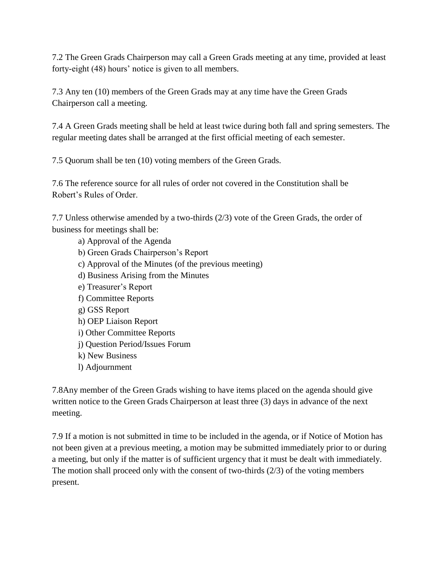7.2 The Green Grads Chairperson may call a Green Grads meeting at any time, provided at least forty-eight (48) hours' notice is given to all members.

7.3 Any ten (10) members of the Green Grads may at any time have the Green Grads Chairperson call a meeting.

7.4 A Green Grads meeting shall be held at least twice during both fall and spring semesters. The regular meeting dates shall be arranged at the first official meeting of each semester.

7.5 Quorum shall be ten (10) voting members of the Green Grads.

7.6 The reference source for all rules of order not covered in the Constitution shall be Robert's Rules of Order.

7.7 Unless otherwise amended by a two-thirds (2/3) vote of the Green Grads, the order of business for meetings shall be:

a) Approval of the Agenda b) Green Grads Chairperson's Report c) Approval of the Minutes (of the previous meeting) d) Business Arising from the Minutes e) Treasurer's Report f) Committee Reports g) GSS Report h) OEP Liaison Report i) Other Committee Reports j) Question Period/Issues Forum k) New Business l) Adjournment

7.8Any member of the Green Grads wishing to have items placed on the agenda should give written notice to the Green Grads Chairperson at least three (3) days in advance of the next meeting.

7.9 If a motion is not submitted in time to be included in the agenda, or if Notice of Motion has not been given at a previous meeting, a motion may be submitted immediately prior to or during a meeting, but only if the matter is of sufficient urgency that it must be dealt with immediately. The motion shall proceed only with the consent of two-thirds  $(2/3)$  of the voting members present.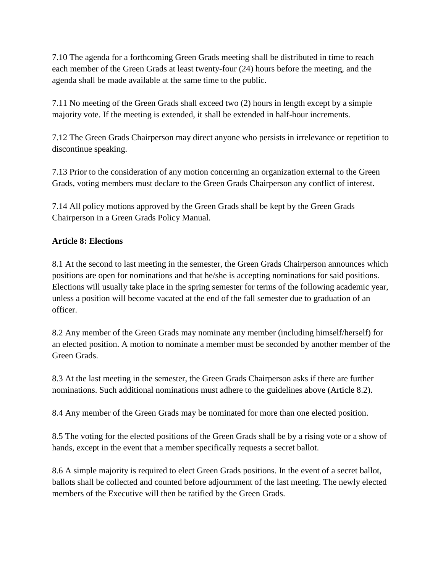7.10 The agenda for a forthcoming Green Grads meeting shall be distributed in time to reach each member of the Green Grads at least twenty-four (24) hours before the meeting, and the agenda shall be made available at the same time to the public.

7.11 No meeting of the Green Grads shall exceed two (2) hours in length except by a simple majority vote. If the meeting is extended, it shall be extended in half-hour increments.

7.12 The Green Grads Chairperson may direct anyone who persists in irrelevance or repetition to discontinue speaking.

7.13 Prior to the consideration of any motion concerning an organization external to the Green Grads, voting members must declare to the Green Grads Chairperson any conflict of interest.

7.14 All policy motions approved by the Green Grads shall be kept by the Green Grads Chairperson in a Green Grads Policy Manual.

# **Article 8: Elections**

8.1 At the second to last meeting in the semester, the Green Grads Chairperson announces which positions are open for nominations and that he/she is accepting nominations for said positions. Elections will usually take place in the spring semester for terms of the following academic year, unless a position will become vacated at the end of the fall semester due to graduation of an officer.

8.2 Any member of the Green Grads may nominate any member (including himself/herself) for an elected position. A motion to nominate a member must be seconded by another member of the Green Grads.

8.3 At the last meeting in the semester, the Green Grads Chairperson asks if there are further nominations. Such additional nominations must adhere to the guidelines above (Article 8.2).

8.4 Any member of the Green Grads may be nominated for more than one elected position.

8.5 The voting for the elected positions of the Green Grads shall be by a rising vote or a show of hands, except in the event that a member specifically requests a secret ballot.

8.6 A simple majority is required to elect Green Grads positions. In the event of a secret ballot, ballots shall be collected and counted before adjournment of the last meeting. The newly elected members of the Executive will then be ratified by the Green Grads.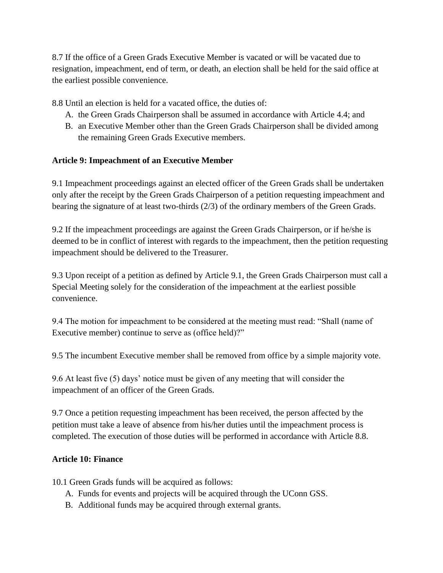8.7 If the office of a Green Grads Executive Member is vacated or will be vacated due to resignation, impeachment, end of term, or death, an election shall be held for the said office at the earliest possible convenience.

8.8 Until an election is held for a vacated office, the duties of:

- A. the Green Grads Chairperson shall be assumed in accordance with Article 4.4; and
- B. an Executive Member other than the Green Grads Chairperson shall be divided among the remaining Green Grads Executive members.

### **Article 9: Impeachment of an Executive Member**

9.1 Impeachment proceedings against an elected officer of the Green Grads shall be undertaken only after the receipt by the Green Grads Chairperson of a petition requesting impeachment and bearing the signature of at least two-thirds (2/3) of the ordinary members of the Green Grads.

9.2 If the impeachment proceedings are against the Green Grads Chairperson, or if he/she is deemed to be in conflict of interest with regards to the impeachment, then the petition requesting impeachment should be delivered to the Treasurer.

9.3 Upon receipt of a petition as defined by Article 9.1, the Green Grads Chairperson must call a Special Meeting solely for the consideration of the impeachment at the earliest possible convenience.

9.4 The motion for impeachment to be considered at the meeting must read: "Shall (name of Executive member) continue to serve as (office held)?"

9.5 The incumbent Executive member shall be removed from office by a simple majority vote.

9.6 At least five (5) days' notice must be given of any meeting that will consider the impeachment of an officer of the Green Grads.

9.7 Once a petition requesting impeachment has been received, the person affected by the petition must take a leave of absence from his/her duties until the impeachment process is completed. The execution of those duties will be performed in accordance with Article 8.8.

#### **Article 10: Finance**

10.1 Green Grads funds will be acquired as follows:

- A. Funds for events and projects will be acquired through the UConn GSS.
- B. Additional funds may be acquired through external grants.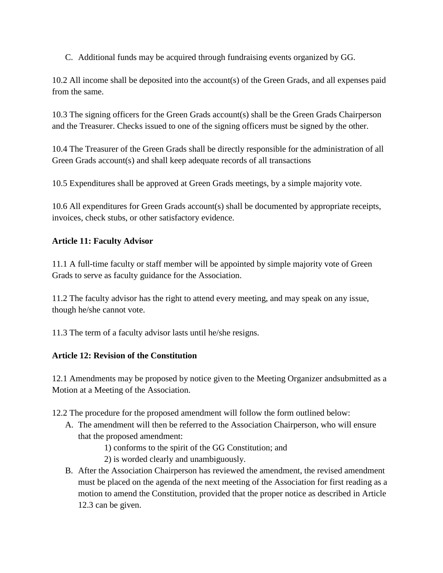C. Additional funds may be acquired through fundraising events organized by GG.

10.2 All income shall be deposited into the account(s) of the Green Grads, and all expenses paid from the same.

10.3 The signing officers for the Green Grads account(s) shall be the Green Grads Chairperson and the Treasurer. Checks issued to one of the signing officers must be signed by the other.

10.4 The Treasurer of the Green Grads shall be directly responsible for the administration of all Green Grads account(s) and shall keep adequate records of all transactions

10.5 Expenditures shall be approved at Green Grads meetings, by a simple majority vote.

10.6 All expenditures for Green Grads account(s) shall be documented by appropriate receipts, invoices, check stubs, or other satisfactory evidence.

### **Article 11: Faculty Advisor**

11.1 A full-time faculty or staff member will be appointed by simple majority vote of Green Grads to serve as faculty guidance for the Association.

11.2 The faculty advisor has the right to attend every meeting, and may speak on any issue, though he/she cannot vote.

11.3 The term of a faculty advisor lasts until he/she resigns.

# **Article 12: Revision of the Constitution**

12.1 Amendments may be proposed by notice given to the Meeting Organizer andsubmitted as a Motion at a Meeting of the Association.

12.2 The procedure for the proposed amendment will follow the form outlined below:

- A. The amendment will then be referred to the Association Chairperson, who will ensure that the proposed amendment:
	- 1) conforms to the spirit of the GG Constitution; and
	- 2) is worded clearly and unambiguously.
- B. After the Association Chairperson has reviewed the amendment, the revised amendment must be placed on the agenda of the next meeting of the Association for first reading as a motion to amend the Constitution, provided that the proper notice as described in Article 12.3 can be given.